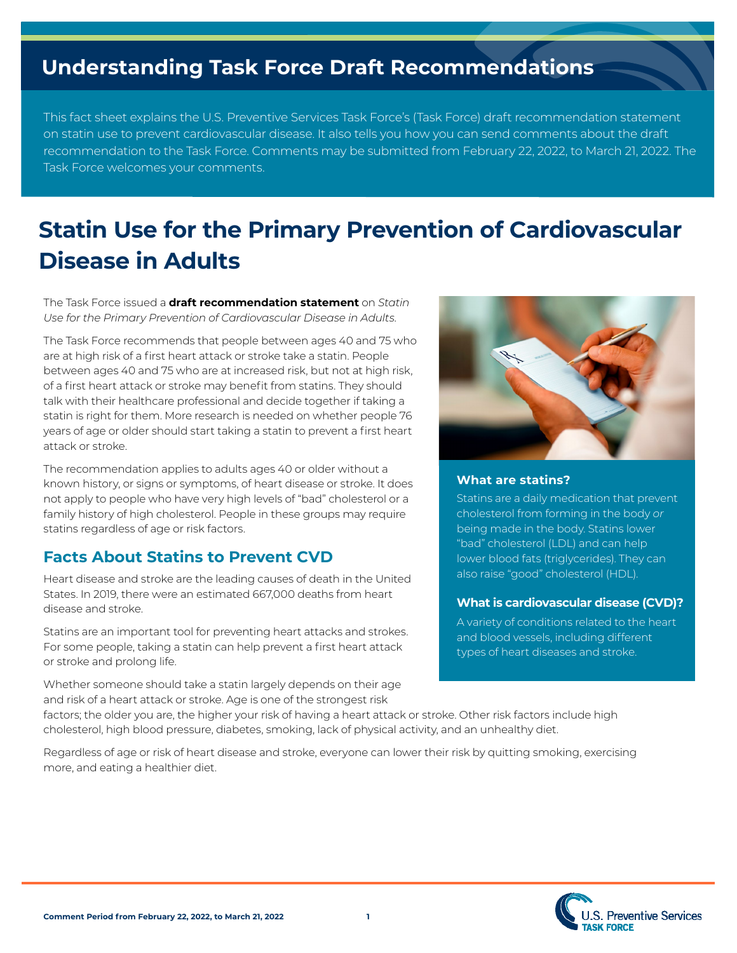# **Understanding Task Force Draft Recommendations**

This fact sheet explains the U.S. Preventive Services Task Force's (Task Force) draft recommendation statement on statin use to prevent cardiovascular disease. It also tells you how you can send comments about the draft recommendation to the Task Force. Comments may be submitted from February 22, 2022, to March 21, 2022. The Task Force welcomes your comments.

# **Statin Use for the Primary Prevention of Cardiovascular Disease in Adults**

**The Task Force issued a draft recommendation statement** on *Statin* Use for the Primary Prevention of Cardiovascular Disease in Adults.

The Task Force recommends that people between ages 40 and 75 who are at high risk of a first heart attack or stroke take a statin. People between ages 40 and 75 who are at increased risk, but not at high risk, of a first heart attack or stroke may benefit from statins. They should talk with their healthcare professional and decide together if taking a statin is right for them. More research is needed on whether people 76 years of age or older should start taking a statin to prevent a first heart attack or stroke.

The recommendation applies to adults ages 40 or older without a known history, or signs or symptoms, of heart disease or stroke. It does not apply to people who have very high levels of "bad" cholesterol or a family history of high cholesterol. People in these groups may require statins regardless of age or risk factors.

## **Facts About Statins to Prevent CVD**

Heart disease and stroke are the leading causes of death in the United States. In 2019, there were an estimated 667,000 deaths from heart disease and stroke.

Statins are an important tool for preventing heart attacks and strokes. For some people, taking a statin can help prevent a first heart attack or stroke and prolong life.

Whether someone should take a statin largely depends on their age and risk of a heart attack or stroke. Age is one of the strongest risk



### **What are statins?**

Statins are a daily medication that prevent cholesterol from forming in the body or being made in the body. Statins lower "bad" cholesterol (LDL) and can help lower blood fats (triglycerides). They can also raise "good" cholesterol (HDL).

### **What is cardiovascular disease (CVD)?**

A variety of conditions related to the heart and blood vessels, including different types of heart diseases and stroke.

factors; the older you are, the higher your risk of having a heart attack or stroke. Other risk factors include high cholesterol, high blood pressure, diabetes, smoking, lack of physical activity, and an unhealthy diet.

Regardless of age or risk of heart disease and stroke, everyone can lower their risk by quitting smoking, exercising more, and eating a healthier diet.

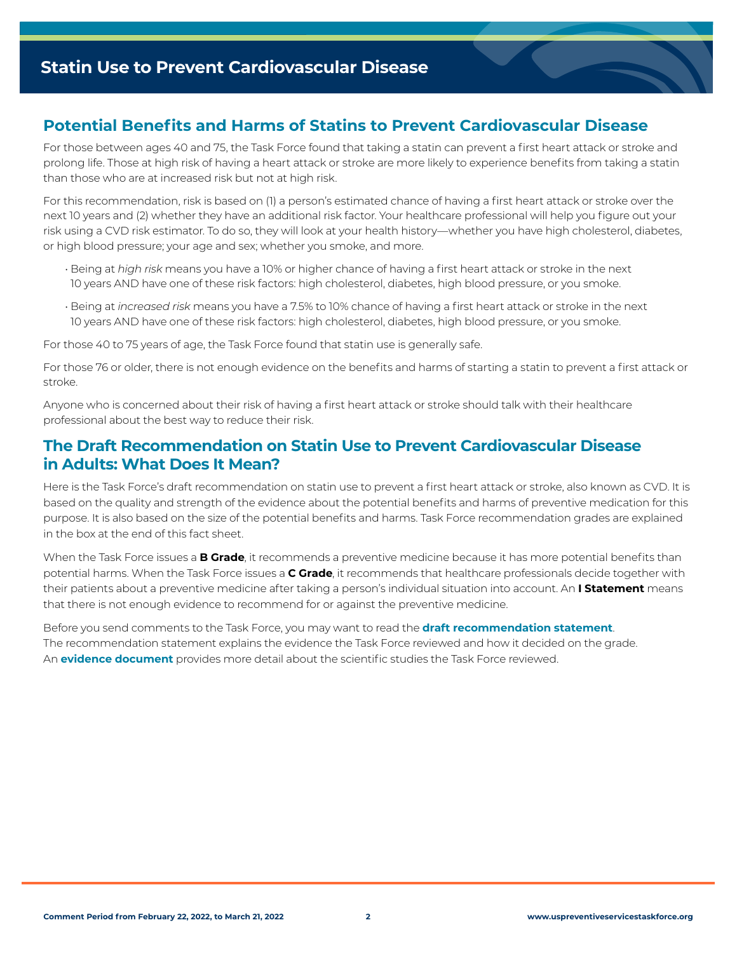# **Potential Benefits and Harms of Statins to Prevent Cardiovascular Disease**

For those between ages 40 and 75, the Task Force found that taking a statin can prevent a first heart attack or stroke and prolong life. Those at high risk of having a heart attack or stroke are more likely to experience benefits from taking a statin than those who are at increased risk but not at high risk.

For this recommendation, risk is based on (1) a person's estimated chance of having a first heart attack or stroke over the next 10 years and (2) whether they have an additional risk factor. Your healthcare professional will help you figure out your risk using a CVD risk estimator. To do so, they will look at your health history—whether you have high cholesterol, diabetes, or high blood pressure; your age and sex; whether you smoke, and more.

- $\cdot$  Being at high risk means you have a 10% or higher chance of having a first heart attack or stroke in the next 10 years AND have one of these risk factors: high cholesterol, diabetes, high blood pressure, or you smoke.
- $\cdot$  Being at increased risk means you have a 7.5% to 10% chance of having a first heart attack or stroke in the next 10 years AND have one of these risk factors: high cholesterol, diabetes, high blood pressure, or you smoke.

For those 40 to 75 years of age, the Task Force found that statin use is generally safe.

For those 76 or older, there is not enough evidence on the benefits and harms of starting a statin to prevent a first attack or stroke.

Anyone who is concerned about their risk of having a first heart attack or stroke should talk with their healthcare professional about the best way to reduce their risk.

## **The Draft Recommendation on Statin Use to Prevent Cardiovascular Disease in Adults: What Does It Mean?**

Here is the Task Force's draft recommendation on statin use to prevent a first heart attack or stroke, also known as CVD. It is based on the quality and strength of the evidence about the potential benefits and harms of preventive medication for this purpose. It is also based on the size of the potential benefits and harms. Task Force recommendation grades are explained in the box at the end of this fact sheet.

When the Task Force issues a **B Grade**, it recommends a preventive medicine because it has more potential benefits than potential harms. When the Task Force issues a **C Grade**, it recommends that healthcare professionals decide together with their patients about a preventive medicine after taking a person's individual situation into account. An **I Statement** means that there is not enough evidence to recommend for or against the preventive medicine.

Before you send comments to the Task Force, you may want to read the **draft recommendation statement**. The recommendation statement explains the evidence the Task Force reviewed and how it decided on the grade. An **evidence document** provides more detail about the scientific studies the Task Force reviewed.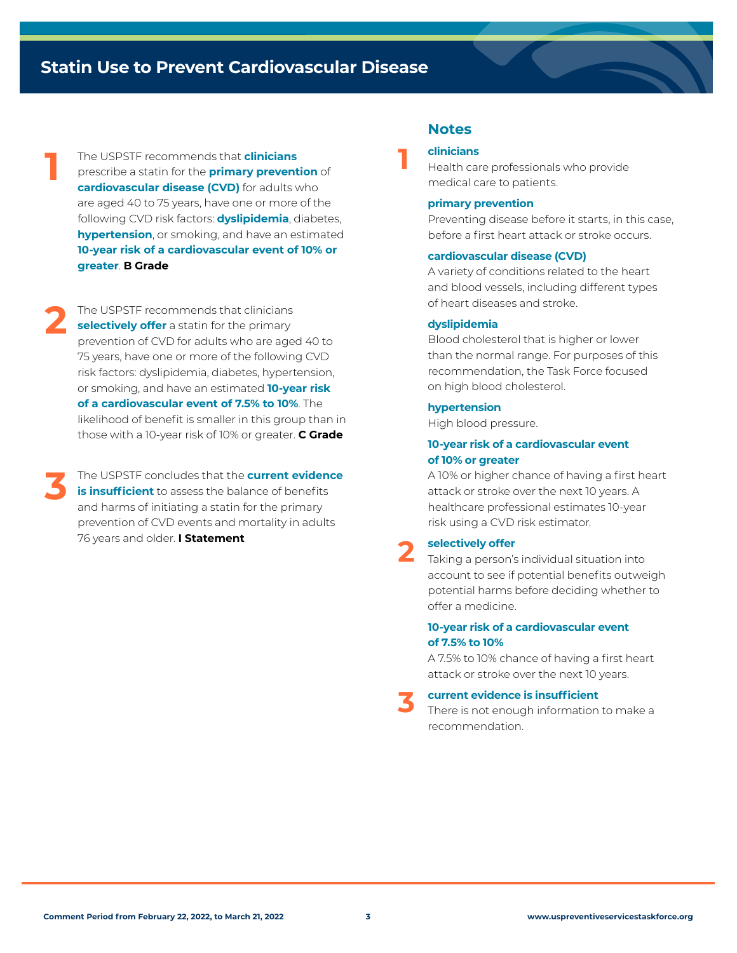# **Statin Use to Prevent Cardiovascular Disease**

The USPSTF recommends that **clinicians** prescribe a statin for the **primary prevention** of **cardiovascular disease (CVD)** for adults who are aged 40 to 75 years, have one or more of the following CVD risk factors: **dyslipidemia**, diabetes, **hypertension**, or smoking, and have an estimated **10-year risk of a cardiovascular event of 10% or greater**. **B** Grade

**1**

The USPSTF recommends that clinicians **2 selectively offer** a statin for the primary prevention of CVD for adults who are aged 40 to 75 years, have one or more of the following CVD risk factors: dyslipidemia, diabetes, hypertension, or smoking, and have an estimated **10-year risk** of a cardiovascular event of 7.5% to 10%. The likelihood of benefit is smaller in this group than in those with a 10-year risk of 10% or greater. **C Grade** 

The USPSTF concludes that the **current evidence 3** is insufficient to assess the balance of benefits and harms of initiating a statin for the primary prevention of CVD events and mortality in adults 76 years and older. **I Statement** 

### **Notes**

### **clinicians**

**1**

Health care professionals who provide medical care to patients.

#### **primary** prevention

Preventing disease before it starts, in this case, before a first heart attack or stroke occurs.

#### **cardiovascular disease (CVD)**

A variety of conditions related to the heart and blood vessels, including different types of heart diseases and stroke

#### **dyslipidemia**

Blood cholesterol that is higher or lower than the normal range. For purposes of this recommendation, the Task Force focused on high blood cholesterol.

#### **hypertension**

High blood pressure.

#### **10-year risk of a cardiovascular event** of 10% or greater

A 10% or higher chance of having a first heart attack or stroke over the next 10 years. A healthcare professional estimates 10-year risk using a CVD risk estimator.

### selectively offer **2**

Taking a person's individual situation into account to see if potential benefits outweigh potential harms before deciding whether to offer a medicine.

#### **10-year risk of a cardiovascular event 10% to 7.5% of**

A 7.5% to 10% chance of having a first heart attack or stroke over the next 10 years.

### **current evidence is insufficient 3**

There is not enough information to make a .recommendation